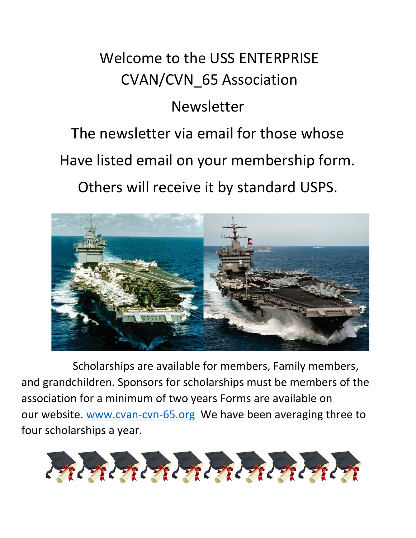## Welcome to the USS ENTERPRISE CVAN/CVN\_65 Association

## Newsletter

# The newsletter via email for those whose Have listed email on your membership form. Others will receive it by standard USPS.



Scholarships are available for members, Family members, and grandchildren. Sponsors for scholarships must be members of the association for a minimum of two years Forms are available on our website. [www.cvan-cvn-65.org](http://www.cvan-cvn-65.org/) We have been averaging three to four scholarships a year.

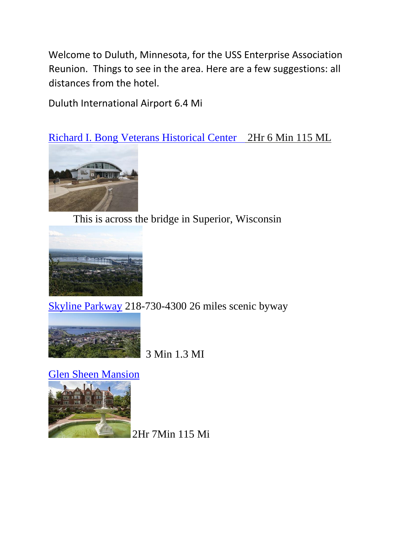Welcome to Duluth, Minnesota, for the USS Enterprise Association Reunion. Things to see in the area. Here are a few suggestions: all distances from the hotel.

Duluth International Airport 6.4 Mi

[Richard I. Bong Veterans Historical Center](https://www.harborlookout.com/ships#0) 2Hr 6 Min 115 ML



This is across the bridge in Superior, Wisconsin



[Skyline Parkway](https://www.exploreminnesota.com/profile/skyline-parkway-scenic-byway/2340) 218-730-4300 26 miles scenic byway



3 Min 1.3 MI

[Glen Sheen Mansion](https://glensheen.org/) 



2Hr 7Min 115 Mi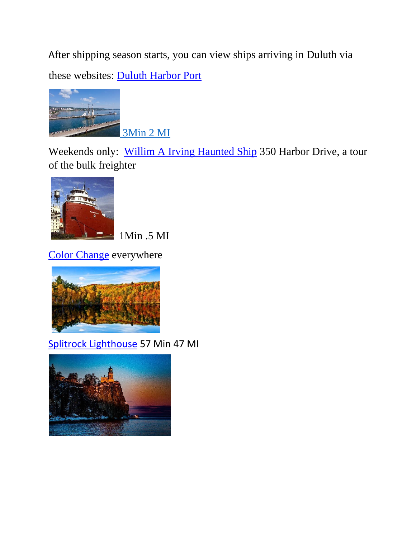After shipping season starts, you can view ships arriving in Duluth via these websites: [Duluth Harbor Port](https://www.duluthharborcam.com/)



3Min 2 MI

Weekends only: [Willim A Irving Haunted Ship](https://duluthhauntedship.com/) 350 Harbor Drive, a tour of the bulk freighter



1Min .5 MI

[Color Change](http://www.visitduluth.com/events/fall-colors/#:~:text=The%20season%20is%20changing%20here%20in%20Duluth%2C%20and,the%20Duluth%20region%20lasting%20mid-September%20through%20late%20October.) everywhere



[Splitrock Lighthouse](https://www.mnhs.org/splitrock) 57 Min 47 MI

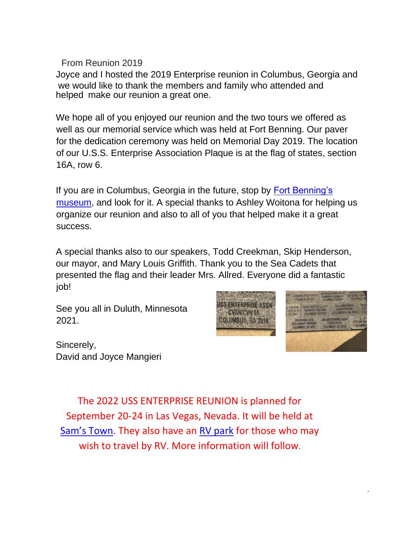From Reunion 2019

Joyce and I hosted the 2019 Enterprise reunion in Columbus, Georgia and we would like to thank the members and family who attended and helped make our reunion a great one.

We hope all of you enjoyed our reunion and the two tours we offered as well as our memorial service which was held at Fort Benning. Our paver for the dedication ceremony was held on Memorial Day 2019. The location of our U.S.S. Enterprise Association Plaque is at the flag of states, section 16A, row 6.

If you are in Columbus, Georgia in the future, stop by [Fort Benning's](https://history.army.mil/museums/TRADOC/fortBenning_natInfantry/index.html)  [museum,](https://history.army.mil/museums/TRADOC/fortBenning_natInfantry/index.html) and look for it. A special thanks to Ashley Woitona for helping us organize our reunion and also to all of you that helped make it a great success.

A special thanks also to our speakers, Todd Creekman, Skip Henderson, our mayor, and Mary Louis Griffith. Thank you to the Sea Cadets that presented the flag and their leader Mrs. Allred. Everyone did a fantastic job!

See you all in Duluth, Minnesota 2021.

Sincerely, David and Joyce Mangieri



.

The 2022 USS ENTERPRISE REUNION is planned for September 20-24 in Las Vegas, Nevada. It will be held at [Sam's Town](https://www.samstownlv.com/). They also have an [RV park](https://www.samstowntunica.com/stay/rv-park) for those who may wish to travel by RV. More information will follow.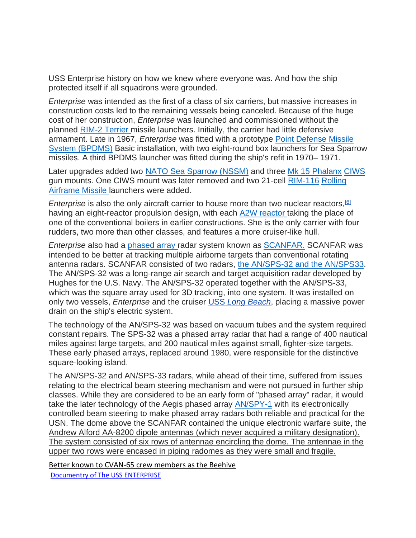USS Enterprise history on how we knew where everyone was. And how the ship protected itself if all squadrons were grounded.

*Enterprise* was intended as the first of a class of six carriers, but massive increases in construction costs led to the remaining vessels being canceled. Because of the huge cost of her construction, *Enterprise* was launched and commissioned without the planne[d](http://www.navweaps.com/Weapons/WMUS_Terrier-RIM2.php) [RIM-2 Terrier](http://www.navweaps.com/Weapons/WMUS_Terrier-RIM2.php) [mi](http://www.navweaps.com/Weapons/WMUS_Terrier-RIM2.php)ssile launchers. Initially, the carrier had little defensive armament. Late in 1967, *Enterprise* was fitted with a prototype [Point Defense Missile](https://www.bing.com/images/search?view=detailV2&ccid=fDGVE4uJ&id=C4A1282C270EA5696F8596F591FD30C24AFB1680&thid=OIP.fDGVE4uJfDYpEoff5XNDmAHaE8&mediaurl=https%3a%2f%2fth.bing.com%2fth%2fid%2fR7c3195138b897c36291287dfe5734398%3frik%3dgBb7SsIw%252fZH1lg%26riu%3dhttp%253a%252f%252fwww.seaforces.org%252fwpnsys%252fSURFACE%252fMk-25-launcher_DAT%252fMk-25-missile-launcher-002.jpg%26ehk%3dbkl23xN4iw5%252fqqXoG6IPw35LVDo%252b%252b1xH5IWeuowFD%252fs%253d%26risl%3d%26pid%3dImgRaw&exph=802&expw=1200&q=bpdms+missile+system&simid=607987475088281384&ck=3116100C8E77BD687D7E7812A796B323&selectedIndex=0&FORM=IRPRST) [System \(BPDMS\)](https://www.bing.com/images/search?view=detailV2&ccid=fDGVE4uJ&id=C4A1282C270EA5696F8596F591FD30C24AFB1680&thid=OIP.fDGVE4uJfDYpEoff5XNDmAHaE8&mediaurl=https%3a%2f%2fth.bing.com%2fth%2fid%2fR7c3195138b897c36291287dfe5734398%3frik%3dgBb7SsIw%252fZH1lg%26riu%3dhttp%253a%252f%252fwww.seaforces.org%252fwpnsys%252fSURFACE%252fMk-25-launcher_DAT%252fMk-25-missile-launcher-002.jpg%26ehk%3dbkl23xN4iw5%252fqqXoG6IPw35LVDo%252b%252b1xH5IWeuowFD%252fs%253d%26risl%3d%26pid%3dImgRaw&exph=802&expw=1200&q=bpdms+missile+system&simid=607987475088281384&ck=3116100C8E77BD687D7E7812A796B323&selectedIndex=0&FORM=IRPRST) Basic installation, with two eight-round box launchers for Sea Sparrow missiles. A third BPDMS launcher was fitted during the ship's refit in 1970– 1971.

Later upgrades added two [NATO Sea Sparrow \(NSSM\)](http://www.seaforces.org/wpnsys/SURFACE/RIM-7-Sea-Sparrow.htm) [a](http://www.seaforces.org/wpnsys/SURFACE/RIM-7-Sea-Sparrow.htm)nd three [Mk 15](https://www.gd-ots.com/armaments/naval-platforms-system/phalanx/) [Phalanx](https://www.gd-ots.com/armaments/naval-platforms-system/phalanx/) [CIWS](https://www.gd-ots.com/armaments/naval-platforms-system/phalanx/) [gu](https://www.gd-ots.com/armaments/naval-platforms-system/phalanx/)n mounts. One CIWS mount was later removed and two 21-ce[ll](https://military.wikia.org/wiki/RIM-116_Rolling_Airframe_Missile) [RIM-116](https://military.wikia.org/wiki/RIM-116_Rolling_Airframe_Missile) [Rolling](https://military.wikia.org/wiki/RIM-116_Rolling_Airframe_Missile)  [Airframe Missile](https://military.wikia.org/wiki/RIM-116_Rolling_Airframe_Missile) [la](https://military.wikia.org/wiki/RIM-116_Rolling_Airframe_Missile)unchers were added.

*Enterprise* is also the only aircraft carrier to house more than two nuclear reactors, <sup>[\[6\]](https://en.wikipedia.org/wiki/USS_Enterprise_(CVN-65)#cite_note-length-6)</sup> having an eight-reactor propulsion design, with eac[h](https://military.wikia.org/wiki/A2W_reactor) [A2W reactor](https://military.wikia.org/wiki/A2W_reactor) [ta](https://military.wikia.org/wiki/A2W_reactor)king the place of one of the conventional boilers in earlier constructions. She is the only carrier with four rudders, two more than other classes, and features a more cruiser-like hull.

*Enterprise* also had [a](https://en.wikipedia.org/wiki/Phased_array) [phased array](https://en.wikipedia.org/wiki/Phased_array) [ra](https://en.wikipedia.org/wiki/Phased_array)dar system known a[s](https://military.wikia.org/wiki/SCANFAR) [SCANFAR.](https://military.wikia.org/wiki/SCANFAR) SCANFAR was intended to be better at tracking multiple airborne targets than conventional rotating antenna radars. SCANFAR consisted of two radars, [the AN/SPS-32 and the AN/SPS33.](https://www.bing.com/images/search?view=detailV2&ccid=t%2fRts4s7&id=C96F1E232F317C654799786AE8998A3AE1BCF796&thid=OIP.t_Rts4s7iT0wkRax8mR_wwAAAA&mediaurl=https%3a%2f%2fth.bing.com%2fth%2fid%2fRb7f46db38b3b893d309116b1f2647fc3%3frik%3dlve84TqKmehqeA%26riu%3dhttp%253a%252f%252fwww.mdc.idv.tw%252fmdc%252fnavy%252fusanavy%252fsps-32.jpg%26ehk%3dFfMRezFuOFdm2WL7W6xlJDotGGO8nbcljdDYuHOysaM%253d%26risl%3d%26pid%3dImgRaw&exph=332&expw=303&q=an%2fsps-32+%26+33&simid=607996400050242425&ck=1E98F017BF1D370D16FDA40678385BD0&selectedIndex=1&FORM=IRPRST) The AN/SPS-32 was a long-range air search and target acquisition radar developed by Hughes for the U.S. Navy. The AN/SPS-32 operated together with the AN/SPS-33, which was the square array used for 3D tracking, into one system. It was installed on only two vessels, *Enterprise* and the cruise[r](https://en.wikipedia.org/wiki/USS_Long_Beach_(CGN-9)) [USS](https://en.wikipedia.org/wiki/USS_Long_Beach_(CGN-9)) *[Long Beach](https://en.wikipedia.org/wiki/USS_Long_Beach_(CGN-9))*[,](https://en.wikipedia.org/wiki/USS_Long_Beach_(CGN-9)) placing a massive power drain on the ship's electric system.

The technology of the AN/SPS-32 was based on vacuum tubes and the system required constant repairs. The SPS-32 was a phased array radar that had a range of 400 nautical miles against large targets, and 200 nautical miles against small, fighter-size targets. These early phased arrays, replaced around 1980, were responsible for the distinctive square-looking island.

The AN/SPS-32 and AN/SPS-33 radars, while ahead of their time, suffered from issues relating to the electrical beam steering mechanism and were not pursued in further ship classes. While they are considered to be an early form of "phased array" radar, it would take the later technology of the Aegis phased array [AN/SPY-1](https://i0.wp.com/blog-imgs-62.fc2.com/n/u/r/nuraripon/SPY1.jpg) with its electronically controlled beam steering to make phased array radars both reliable and practical for the USN. The dome above the SCANFAR contained the unique electronic warfare suite, the Andrew Alford AA-8200 dipole antennas (which never acquired a military designation). The system consisted of six rows of antennae encircling the dome. The antennae in the upper two rows were encased in piping radomes as they were small and fragile.

Better known to CVAN-65 crew members as the Beehive

[Documentry of The USS ENTERPRISE](https://www.bing.com/videos/search?q=USS+Enterprise+Documentary&&view=detail&mid=357549C3A20C72EA8054357549C3A20C72EA8054&&FORM=VRDGAR&ru=%2Fvideos%2Fsearch%3Fq%3DUSS%2BEnterprise%2BDocumentary%26FORM%3DVDMHRS)